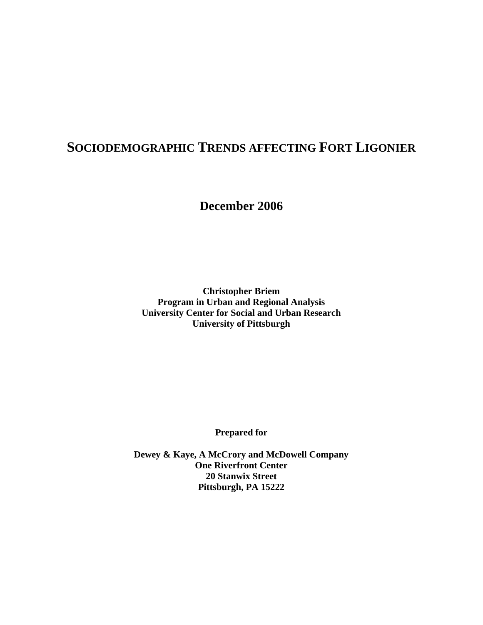# **SOCIODEMOGRAPHIC TRENDS AFFECTING FORT LIGONIER**

**December 2006** 

**Christopher Briem Program in Urban and Regional Analysis University Center for Social and Urban Research University of Pittsburgh** 

**Prepared for** 

**Dewey & Kaye, A McCrory and McDowell Company One Riverfront Center 20 Stanwix Street Pittsburgh, PA 15222**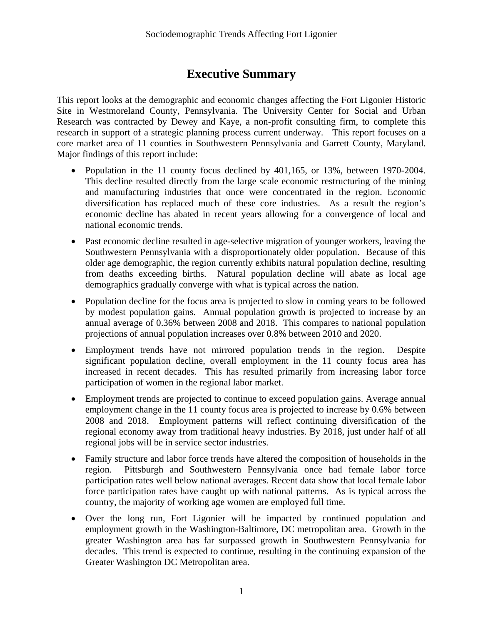# **Executive Summary**

This report looks at the demographic and economic changes affecting the Fort Ligonier Historic Site in Westmoreland County, Pennsylvania. The University Center for Social and Urban Research was contracted by Dewey and Kaye, a non-profit consulting firm, to complete this research in support of a strategic planning process current underway. This report focuses on a core market area of 11 counties in Southwestern Pennsylvania and Garrett County, Maryland. Major findings of this report include:

- Population in the 11 county focus declined by  $401,165$ , or  $13\%$ , between 1970-2004. This decline resulted directly from the large scale economic restructuring of the mining and manufacturing industries that once were concentrated in the region. Economic diversification has replaced much of these core industries. As a result the region's economic decline has abated in recent years allowing for a convergence of local and national economic trends.
- Past economic decline resulted in age-selective migration of younger workers, leaving the Southwestern Pennsylvania with a disproportionately older population. Because of this older age demographic, the region currently exhibits natural population decline, resulting from deaths exceeding births. Natural population decline will abate as local age demographics gradually converge with what is typical across the nation.
- Population decline for the focus area is projected to slow in coming years to be followed by modest population gains. Annual population growth is projected to increase by an annual average of 0.36% between 2008 and 2018. This compares to national population projections of annual population increases over 0.8% between 2010 and 2020.
- x Employment trends have not mirrored population trends in the region. Despite significant population decline, overall employment in the 11 county focus area has increased in recent decades. This has resulted primarily from increasing labor force participation of women in the regional labor market.
- Employment trends are projected to continue to exceed population gains. Average annual employment change in the 11 county focus area is projected to increase by 0.6% between 2008 and 2018. Employment patterns will reflect continuing diversification of the regional economy away from traditional heavy industries. By 2018, just under half of all regional jobs will be in service sector industries.
- Family structure and labor force trends have altered the composition of households in the region. Pittsburgh and Southwestern Pennsylvania once had female labor force participation rates well below national averages. Recent data show that local female labor force participation rates have caught up with national patterns. As is typical across the country, the majority of working age women are employed full time.
- Over the long run, Fort Ligonier will be impacted by continued population and employment growth in the Washington-Baltimore, DC metropolitan area. Growth in the greater Washington area has far surpassed growth in Southwestern Pennsylvania for decades. This trend is expected to continue, resulting in the continuing expansion of the Greater Washington DC Metropolitan area.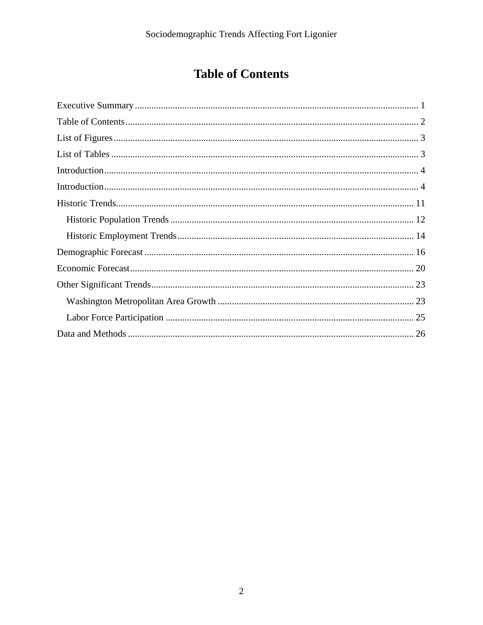# **Table of Contents**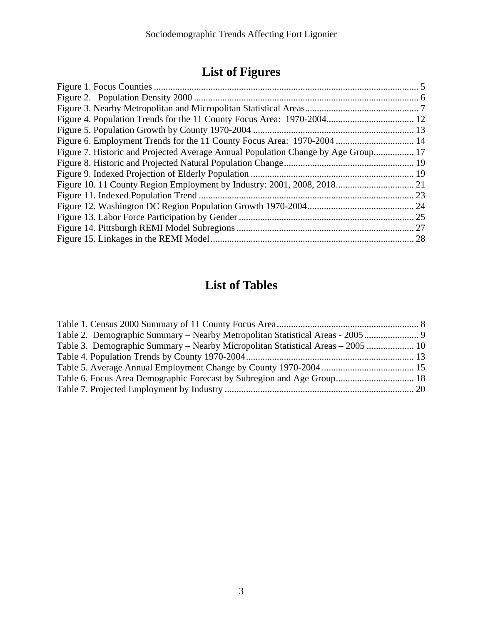# **List of Figures**

| Figure 6. Employment Trends for the 11 County Focus Area: 1970-2004  14           |  |
|-----------------------------------------------------------------------------------|--|
| Figure 7. Historic and Projected Average Annual Population Change by Age Group 17 |  |
|                                                                                   |  |
|                                                                                   |  |
|                                                                                   |  |
|                                                                                   |  |
|                                                                                   |  |
|                                                                                   |  |
|                                                                                   |  |
|                                                                                   |  |

# **List of Tables**

| Table 3. Demographic Summary – Nearby Micropolitan Statistical Areas – 2005  10 |  |
|---------------------------------------------------------------------------------|--|
|                                                                                 |  |
|                                                                                 |  |
| Table 6. Focus Area Demographic Forecast by Subregion and Age Group 18          |  |
|                                                                                 |  |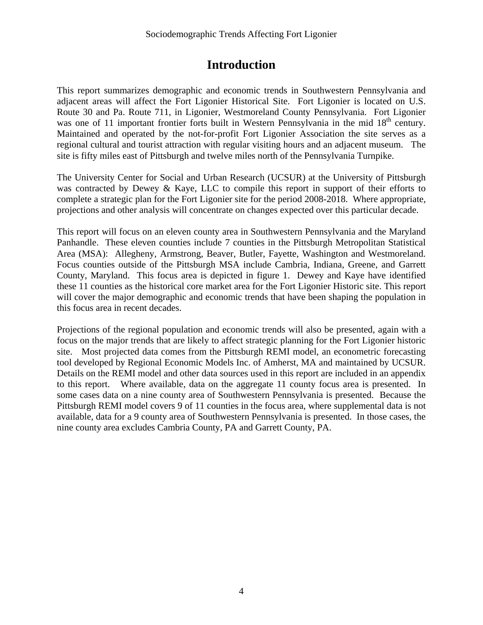## **Introduction**

This report summarizes demographic and economic trends in Southwestern Pennsylvania and adjacent areas will affect the Fort Ligonier Historical Site. Fort Ligonier is located on U.S. Route 30 and Pa. Route 711, in Ligonier, Westmoreland County Pennsylvania. Fort Ligonier was one of 11 important frontier forts built in Western Pennsylvania in the mid 18<sup>th</sup> century. Maintained and operated by the not-for-profit Fort Ligonier Association the site serves as a regional cultural and tourist attraction with regular visiting hours and an adjacent museum. The site is fifty miles east of Pittsburgh and twelve miles north of the Pennsylvania Turnpike.

The University Center for Social and Urban Research (UCSUR) at the University of Pittsburgh was contracted by Dewey & Kaye, LLC to compile this report in support of their efforts to complete a strategic plan for the Fort Ligonier site for the period 2008-2018. Where appropriate, projections and other analysis will concentrate on changes expected over this particular decade.

This report will focus on an eleven county area in Southwestern Pennsylvania and the Maryland Panhandle. These eleven counties include 7 counties in the Pittsburgh Metropolitan Statistical Area (MSA): Allegheny, Armstrong, Beaver, Butler, Fayette, Washington and Westmoreland. Focus counties outside of the Pittsburgh MSA include Cambria, Indiana, Greene, and Garrett County, Maryland. This focus area is depicted in figure 1. Dewey and Kaye have identified these 11 counties as the historical core market area for the Fort Ligonier Historic site. This report will cover the major demographic and economic trends that have been shaping the population in this focus area in recent decades.

Projections of the regional population and economic trends will also be presented, again with a focus on the major trends that are likely to affect strategic planning for the Fort Ligonier historic site. Most projected data comes from the Pittsburgh REMI model, an econometric forecasting tool developed by Regional Economic Models Inc. of Amherst, MA and maintained by UCSUR. Details on the REMI model and other data sources used in this report are included in an appendix to this report. Where available, data on the aggregate 11 county focus area is presented. In some cases data on a nine county area of Southwestern Pennsylvania is presented. Because the Pittsburgh REMI model covers 9 of 11 counties in the focus area, where supplemental data is not available, data for a 9 county area of Southwestern Pennsylvania is presented. In those cases, the nine county area excludes Cambria County, PA and Garrett County, PA.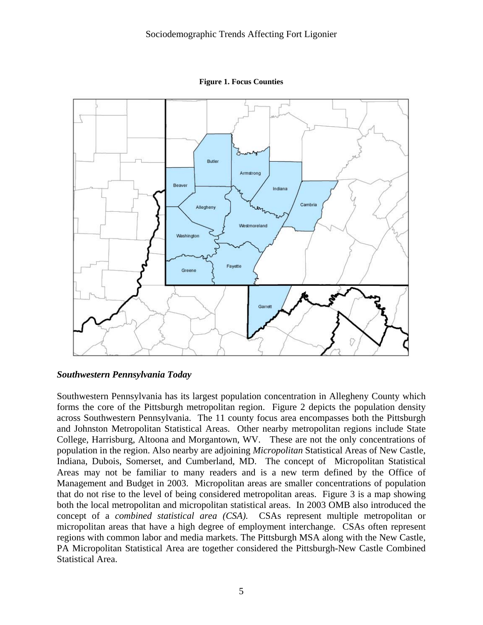

**Figure 1. Focus Counties** 

#### *Southwestern Pennsylvania Today*

Southwestern Pennsylvania has its largest population concentration in Allegheny County which forms the core of the Pittsburgh metropolitan region. Figure 2 depicts the population density across Southwestern Pennsylvania. The 11 county focus area encompasses both the Pittsburgh and Johnston Metropolitan Statistical Areas. Other nearby metropolitan regions include State College, Harrisburg, Altoona and Morgantown, WV. These are not the only concentrations of population in the region. Also nearby are adjoining *Micropolitan* Statistical Areas of New Castle, Indiana, Dubois, Somerset, and Cumberland, MD. The concept of Micropolitan Statistical Areas may not be familiar to many readers and is a new term defined by the Office of Management and Budget in 2003. Micropolitan areas are smaller concentrations of population that do not rise to the level of being considered metropolitan areas. Figure 3 is a map showing both the local metropolitan and micropolitan statistical areas. In 2003 OMB also introduced the concept of a *combined statistical area (CSA)*. CSAs represent multiple metropolitan or micropolitan areas that have a high degree of employment interchange. CSAs often represent regions with common labor and media markets. The Pittsburgh MSA along with the New Castle, PA Micropolitan Statistical Area are together considered the Pittsburgh-New Castle Combined Statistical Area.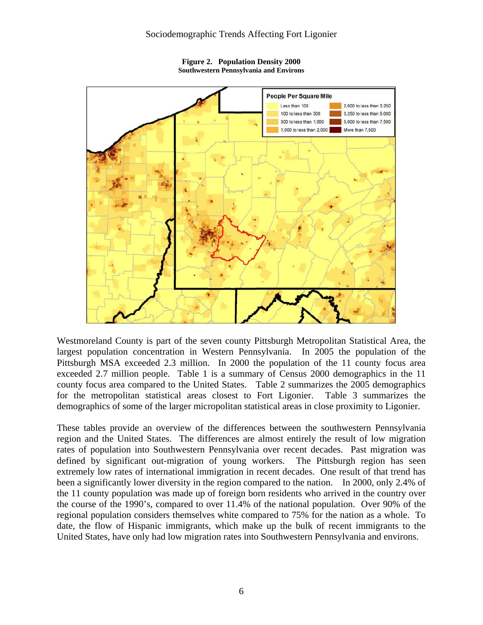

**Figure 2. Population Density 2000 Southwestern Pennsylvania and Environs** 

Westmoreland County is part of the seven county Pittsburgh Metropolitan Statistical Area, the largest population concentration in Western Pennsylvania. In 2005 the population of the Pittsburgh MSA exceeded 2.3 million. In 2000 the population of the 11 county focus area exceeded 2.7 million people. Table 1 is a summary of Census 2000 demographics in the 11 county focus area compared to the United States. Table 2 summarizes the 2005 demographics for the metropolitan statistical areas closest to Fort Ligonier. Table 3 summarizes the demographics of some of the larger micropolitan statistical areas in close proximity to Ligonier.

These tables provide an overview of the differences between the southwestern Pennsylvania region and the United States. The differences are almost entirely the result of low migration rates of population into Southwestern Pennsylvania over recent decades. Past migration was defined by significant out-migration of young workers. The Pittsburgh region has seen extremely low rates of international immigration in recent decades. One result of that trend has been a significantly lower diversity in the region compared to the nation. In 2000, only 2.4% of the 11 county population was made up of foreign born residents who arrived in the country over the course of the 1990's, compared to over 11.4% of the national population. Over 90% of the regional population considers themselves white compared to 75% for the nation as a whole. To date, the flow of Hispanic immigrants, which make up the bulk of recent immigrants to the United States, have only had low migration rates into Southwestern Pennsylvania and environs.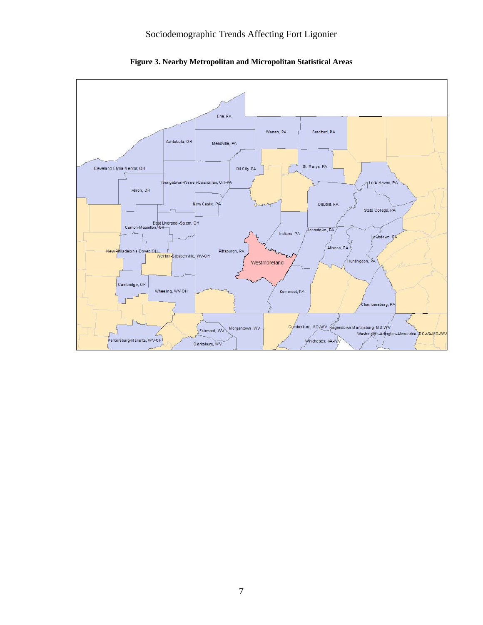

**Figure 3. Nearby Metropolitan and Micropolitan Statistical Areas**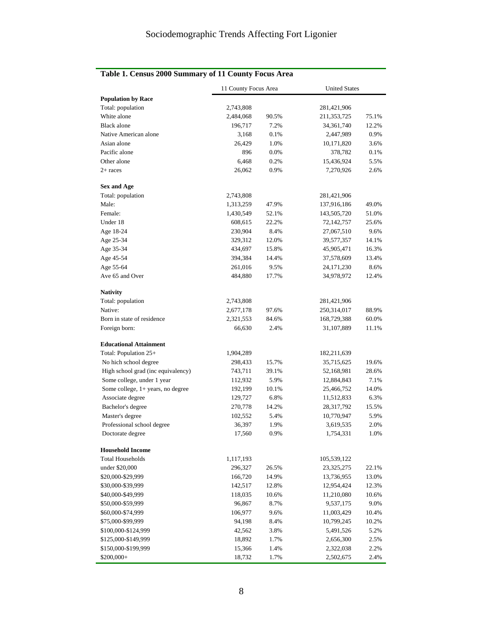|  |  |  |  |  |  | Table 1. Census 2000 Summary of 11 County Focus Area |
|--|--|--|--|--|--|------------------------------------------------------|
|--|--|--|--|--|--|------------------------------------------------------|

|                                    | 11 County Focus Area |       | <b>United States</b> |       |  |  |
|------------------------------------|----------------------|-------|----------------------|-------|--|--|
| <b>Population by Race</b>          |                      |       |                      |       |  |  |
| Total: population                  | 2,743,808            |       | 281,421,906          |       |  |  |
| White alone                        | 2,484,068            | 90.5% | 211, 353, 725        | 75.1% |  |  |
| Black alone                        | 196,717              | 7.2%  | 34,361,740           | 12.2% |  |  |
| Native American alone              | 3,168                | 0.1%  | 2,447,989            | 0.9%  |  |  |
| Asian alone                        | 26,429               | 1.0%  | 10,171,820           | 3.6%  |  |  |
| Pacific alone                      | 896                  | 0.0%  | 378,782              | 0.1%  |  |  |
| Other alone                        | 6,468                | 0.2%  | 15,436,924           | 5.5%  |  |  |
| $2+$ races                         | 26,062               | 0.9%  | 7,270,926            | 2.6%  |  |  |
| <b>Sex and Age</b>                 |                      |       |                      |       |  |  |
| Total: population                  | 2,743,808            |       | 281,421,906          |       |  |  |
| Male:                              | 1,313,259            | 47.9% | 137,916,186          | 49.0% |  |  |
| Female:                            | 1,430,549            | 52.1% | 143,505,720          | 51.0% |  |  |
| Under 18                           | 608,615              | 22.2% | 72,142,757           | 25.6% |  |  |
| Age 18-24                          | 230,904              | 8.4%  | 27,067,510           | 9.6%  |  |  |
| Age 25-34                          | 329,312              | 12.0% | 39,577,357           | 14.1% |  |  |
| Age 35-34                          | 434,697              | 15.8% | 45,905,471           | 16.3% |  |  |
| Age 45-54                          | 394,384              | 14.4% | 37,578,609           | 13.4% |  |  |
| Age 55-64                          | 261,016              | 9.5%  | 24, 171, 230         | 8.6%  |  |  |
| Ave 65 and Over                    | 484,880              | 17.7% | 34,978,972           | 12.4% |  |  |
| <b>Nativity</b>                    |                      |       |                      |       |  |  |
| Total: population                  | 2,743,808            |       | 281,421,906          |       |  |  |
| Native:                            | 2,677,178            | 97.6% | 250,314,017          | 88.9% |  |  |
| Born in state of residence         | 2,321,553            | 84.6% | 168,729,388          | 60.0% |  |  |
| Foreign born:                      | 66,630               | 2.4%  | 31,107,889           | 11.1% |  |  |
| <b>Educational Attainment</b>      |                      |       |                      |       |  |  |
| Total: Population 25+              | 1,904,289            |       | 182,211,639          |       |  |  |
| No hich school degree              | 298,433              | 15.7% | 35,715,625           | 19.6% |  |  |
| High school grad (inc equivalency) | 743,711              | 39.1% | 52,168,981           | 28.6% |  |  |
| Some college, under 1 year         | 112,932              | 5.9%  | 12,884,843           | 7.1%  |  |  |
| Some college, 1+ years, no degree  | 192,199              | 10.1% | 25,466,752           | 14.0% |  |  |
| Associate degree                   | 129,727              | 6.8%  | 11,512,833           | 6.3%  |  |  |
| Bachelor's degree                  | 270,778              | 14.2% | 28,317,792           | 15.5% |  |  |
| Master's degree                    | 102,552              | 5.4%  | 10,770,947           | 5.9%  |  |  |
| Professional school degree         | 36,397               | 1.9%  | 3,619,535            | 2.0%  |  |  |
| Doctorate degree                   | 17,560               | 0.9%  | 1,754,331            | 1.0%  |  |  |
| <b>Household Income</b>            |                      |       |                      |       |  |  |
| <b>Total Households</b>            | 1,117,193            |       | 105,539,122          |       |  |  |
| under \$20,000                     | 296,327              | 26.5% | 23, 325, 275         | 22.1% |  |  |
| \$20,000-\$29,999                  | 166,720              | 14.9% | 13,736,955           | 13.0% |  |  |
| \$30,000-\$39,999                  | 142,517              | 12.8% | 12,954,424           | 12.3% |  |  |
| \$40,000-\$49,999                  | 118,035              | 10.6% | 11,210,080           | 10.6% |  |  |
| \$50,000-\$59,999                  | 96,867               | 8.7%  | 9,537,175            | 9.0%  |  |  |
| \$60,000-\$74,999                  | 106,977              | 9.6%  | 11,003,429           | 10.4% |  |  |
| \$75,000-\$99,999                  | 94,198               | 8.4%  | 10,799,245           | 10.2% |  |  |
| \$100,000-\$124,999                | 42,562               | 3.8%  | 5,491,526            | 5.2%  |  |  |
| \$125,000-\$149,999                | 18,892               | 1.7%  | 2,656,300            | 2.5%  |  |  |
| \$150,000-\$199,999                | 15,366               | 1.4%  | 2,322,038            | 2.2%  |  |  |
| \$200,000+                         | 18,732               | 1.7%  | 2,502,675            | 2.4%  |  |  |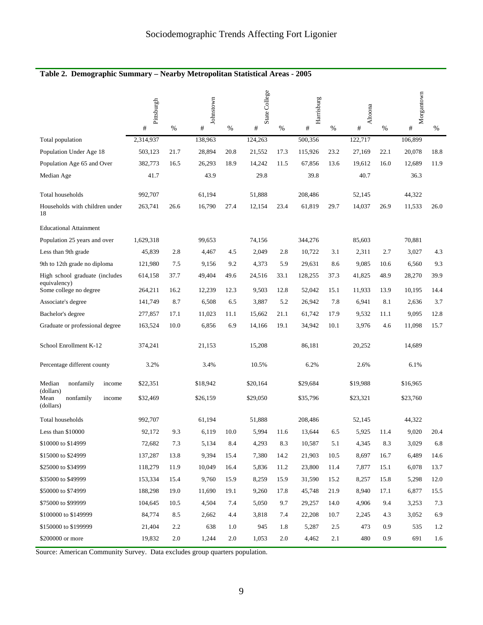#### **Table 2. Demographic Summary – Nearby Metropolitan Statistical Areas - 2005**

|                                            | Pittsburgh<br># | %    | Johnstown<br>$\#$ | $\%$    | State College<br># | %    | Harrisburg<br># | %    | Altoona<br># | %    | Morgantown<br>$\#$ | $\%$ |
|--------------------------------------------|-----------------|------|-------------------|---------|--------------------|------|-----------------|------|--------------|------|--------------------|------|
| Total population                           | 2,314,937       |      | 138,963           |         | 124,263            |      | 500,356         |      | 122,717      |      | 106,899            |      |
| Population Under Age 18                    | 503,123         | 21.7 | 28,894            | 20.8    | 21,552             | 17.3 | 115,926         | 23.2 | 27,169       | 22.1 | 20,078             | 18.8 |
| Population Age 65 and Over                 | 382,773         | 16.5 | 26,293            | 18.9    | 14,242             | 11.5 | 67,856          | 13.6 | 19,612       | 16.0 | 12,689             | 11.9 |
| Median Age                                 | 41.7            |      | 43.9              |         | 29.8               |      | 39.8            |      | 40.7         |      | 36.3               |      |
|                                            |                 |      |                   |         |                    |      |                 |      |              |      |                    |      |
| Total households                           | 992,707         |      | 61,194            |         | 51,888             |      | 208.486         |      | 52,145       |      | 44,322             |      |
| Households with children under<br>18       | 263,741         | 26.6 | 16,790            | 27.4    | 12,154             | 23.4 | 61,819          | 29.7 | 14,037       | 26.9 | 11,533             | 26.0 |
| <b>Educational Attainment</b>              |                 |      |                   |         |                    |      |                 |      |              |      |                    |      |
| Population 25 years and over               | 1,629,318       |      | 99,653            |         | 74,156             |      | 344,276         |      | 85,603       |      | 70,881             |      |
| Less than 9th grade                        | 45,839          | 2.8  | 4,467             | 4.5     | 2,049              | 2.8  | 10,722          | 3.1  | 2,311        | 2.7  | 3,027              | 4.3  |
| 9th to 12th grade no diploma               | 121,980         | 7.5  | 9,156             | 9.2     | 4,373              | 5.9  | 29,631          | 8.6  | 9,085        | 10.6 | 6,560              | 9.3  |
| High school graduate (includes             | 614,158         | 37.7 | 49,404            | 49.6    | 24,516             | 33.1 | 128,255         | 37.3 | 41,825       | 48.9 | 28,270             | 39.9 |
| equivalency)<br>Some college no degree     | 264,211         | 16.2 | 12,239            | 12.3    | 9,503              | 12.8 | 52,042          | 15.1 | 11,933       | 13.9 | 10,195             | 14.4 |
| Associate's degree                         | 141,749         | 8.7  | 6,508             | 6.5     | 3,887              | 5.2  | 26,942          | 7.8  | 6,941        | 8.1  | 2,636              | 3.7  |
| Bachelor's degree                          | 277,857         | 17.1 | 11,023            | 11.1    | 15,662             | 21.1 | 61,742          | 17.9 | 9,532        | 11.1 | 9,095              | 12.8 |
| Graduate or professional degree            | 163,524         | 10.0 | 6,856             | 6.9     | 14,166             | 19.1 | 34,942          | 10.1 | 3,976        | 4.6  | 11,098             | 15.7 |
| School Enrollment K-12                     | 374,241         |      | 21,153            |         | 15,208             |      | 86,181          |      | 20,252       |      | 14,689             |      |
| Percentage different county                | 3.2%            |      | 3.4%              |         | 10.5%              |      | 6.2%            |      | 2.6%         |      | 6.1%               |      |
| Median<br>nonfamily<br>income<br>(dollars) | \$22,351        |      | \$18,942          |         | \$20,164           |      | \$29,684        |      | \$19,988     |      | \$16,965           |      |
| Mean<br>nonfamily<br>income<br>(dollars)   | \$32,469        |      | \$26,159          |         | \$29,050           |      | \$35,796        |      | \$23,321     |      | \$23,760           |      |
| Total households                           | 992,707         |      | 61,194            |         | 51,888             |      | 208,486         |      | 52,145       |      | 44,322             |      |
| Less than \$10000                          | 92,172          | 9.3  | 6,119             | 10.0    | 5,994              | 11.6 | 13,644          | 6.5  | 5,925        | 11.4 | 9,020              | 20.4 |
| \$10000 to \$14999                         | 72,682          | 7.3  | 5,134             | 8.4     | 4,293              | 8.3  | 10,587          | 5.1  | 4,345        | 8.3  | 3,029              | 6.8  |
| \$15000 to \$24999                         | 137,287         | 13.8 | 9,394             | 15.4    | 7,380              | 14.2 | 21,903          | 10.5 | 8,697        | 16.7 | 6,489              | 14.6 |
| \$25000 to \$34999                         | 118,279         | 11.9 | 10,049            | 16.4    | 5,836              | 11.2 | 23,800          | 11.4 | 7,877        | 15.1 | 6,078              | 13.7 |
| \$35000 to \$49999                         | 153,334         | 15.4 | 9,760             | 15.9    | 8,259              | 15.9 | 31,590          | 15.2 | 8,257        | 15.8 | 5,298              | 12.0 |
| \$50000 to \$74999                         | 188,298         | 19.0 | 11,690            | 19.1    | 9,260              | 17.8 | 45,748          | 21.9 | 8,940        | 17.1 | 6,877              | 15.5 |
| \$75000 to \$99999                         | 104,645         | 10.5 | 4,504             | 7.4     | 5,050              | 9.7  | 29,257          | 14.0 | 4,906        | 9.4  | 3,253              | 7.3  |
| \$100000 to \$149999                       | 84,774          | 8.5  | 2,662             | 4.4     | 3,818              | 7.4  | 22,208          | 10.7 | 2,245        | 4.3  | 3,052              | 6.9  |
| \$150000 to \$199999                       | 21,404          | 2.2  | 638               | 1.0     | 945                | 1.8  | 5,287           | 2.5  | 473          | 0.9  | 535                | 1.2  |
| \$200000 or more                           | 19,832          | 2.0  | 1,244             | $2.0\,$ | 1,053              | 2.0  | 4,462           | 2.1  | 480          | 0.9  | 691                | 1.6  |

Source: American Community Survey. Data excludes group quarters population.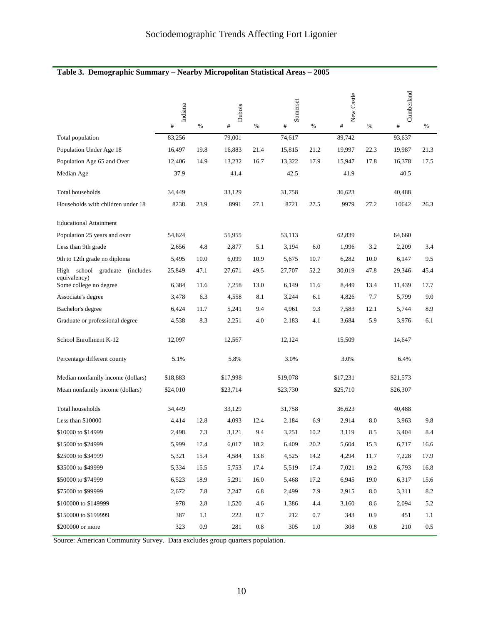|                                                           | Indiana  |      | New Castle<br>Somerset<br>Dubois |      |          | Cumberland |          |      |          |         |
|-----------------------------------------------------------|----------|------|----------------------------------|------|----------|------------|----------|------|----------|---------|
|                                                           | #        | $\%$ | #                                | $\%$ | $\#$     | $\%$       | $\#$     | %    | $\#$     | $\%$    |
| Total population                                          | 83,256   |      | 79,001                           |      | 74,617   |            | 89,742   |      | 93,637   |         |
| Population Under Age 18                                   | 16,497   | 19.8 | 16,883                           | 21.4 | 15,815   | 21.2       | 19,997   | 22.3 | 19,987   | 21.3    |
| Population Age 65 and Over                                | 12,406   | 14.9 | 13,232                           | 16.7 | 13,322   | 17.9       | 15,947   | 17.8 | 16,378   | 17.5    |
| Median Age                                                | 37.9     |      | 41.4                             |      | 42.5     |            | 41.9     |      | 40.5     |         |
| Total households                                          | 34,449   |      | 33,129                           |      | 31,758   |            | 36,623   |      | 40,488   |         |
| Households with children under 18                         | 8238     | 23.9 | 8991                             | 27.1 | 8721     | 27.5       | 9979     | 27.2 | 10642    | 26.3    |
| <b>Educational Attainment</b>                             |          |      |                                  |      |          |            |          |      |          |         |
| Population 25 years and over                              | 54,824   |      | 55,955                           |      | 53,113   |            | 62,839   |      | 64,660   |         |
| Less than 9th grade                                       | 2,656    | 4.8  | 2,877                            | 5.1  | 3,194    | 6.0        | 1,996    | 3.2  | 2,209    | 3.4     |
| 9th to 12th grade no diploma                              | 5,495    | 10.0 | 6,099                            | 10.9 | 5,675    | 10.7       | 6,282    | 10.0 | 6,147    | 9.5     |
| High school graduate<br><i>(includes)</i><br>equivalency) | 25,849   | 47.1 | 27,671                           | 49.5 | 27,707   | 52.2       | 30,019   | 47.8 | 29,346   | 45.4    |
| Some college no degree                                    | 6,384    | 11.6 | 7,258                            | 13.0 | 6,149    | 11.6       | 8,449    | 13.4 | 11,439   | 17.7    |
| Associate's degree                                        | 3,478    | 6.3  | 4,558                            | 8.1  | 3,244    | 6.1        | 4,826    | 7.7  | 5,799    | 9.0     |
| Bachelor's degree                                         | 6,424    | 11.7 | 5,241                            | 9.4  | 4,961    | 9.3        | 7,583    | 12.1 | 5,744    | 8.9     |
| Graduate or professional degree                           | 4,538    | 8.3  | 2,251                            | 4.0  | 2,183    | 4.1        | 3,684    | 5.9  | 3,976    | 6.1     |
| School Enrollment K-12                                    | 12,097   |      | 12,567                           |      | 12,124   |            | 15,509   |      | 14,647   |         |
| Percentage different county                               | 5.1%     |      | 5.8%                             |      | 3.0%     |            | 3.0%     |      | 6.4%     |         |
| Median nonfamily income (dollars)                         | \$18,883 |      | \$17,998                         |      | \$19,078 |            | \$17,231 |      | \$21,573 |         |
| Mean nonfamily income (dollars)                           | \$24,010 |      | \$23,714                         |      | \$23,730 |            | \$25,710 |      | \$26,307 |         |
| Total households                                          | 34,449   |      | 33,129                           |      | 31,758   |            | 36,623   |      | 40,488   |         |
| Less than \$10000                                         | 4,414    | 12.8 | 4,093                            | 12.4 | 2,184    | 6.9        | 2,914    | 8.0  | 3,963    | 9.8     |
| \$10000 to \$14999                                        | 2,498    | 7.3  | 3,121                            | 9.4  | 3,251    | 10.2       | 3,119    | 8.5  | 3,404    | 8.4     |
| \$15000 to \$24999                                        | 5,999    | 17.4 | 6,017                            | 18.2 | 6,409    | 20.2       | 5,604    | 15.3 | 6,717    | 16.6    |
| \$25000 to \$34999                                        | 5,321    | 15.4 | 4,584                            | 13.8 | 4,525    | 14.2       | 4,294    | 11.7 | 7,228    | 17.9    |
| \$35000 to \$49999                                        | 5,334    | 15.5 | 5,753                            | 17.4 | 5,519    | 17.4       | 7,021    | 19.2 | 6,793    | 16.8    |
| \$50000 to \$74999                                        | 6,523    | 18.9 | 5,291                            | 16.0 | 5,468    | 17.2       | 6,945    | 19.0 | 6,317    | 15.6    |
| \$75000 to \$99999                                        | 2,672    | 7.8  | 2,247                            | 6.8  | 2,499    | 7.9        | 2,915    | 8.0  | 3,311    | 8.2     |
| \$100000 to \$149999                                      | 978      | 2.8  | 1,520                            | 4.6  | 1,386    | 4.4        | 3,160    | 8.6  | 2,094    | 5.2     |
| \$150000 to \$199999                                      | 387      | 1.1  | 222                              | 0.7  | 212      | 0.7        | 343      | 0.9  | 451      | 1.1     |
| \$200000 or more                                          | 323      | 0.9  | 281                              | 0.8  | 305      | 1.0        | 308      | 0.8  | 210      | $0.5\,$ |

### **Table 3. Demographic Summary – Nearby Micropolitan Statistical Areas – 2005**

Source: American Community Survey. Data excludes group quarters population.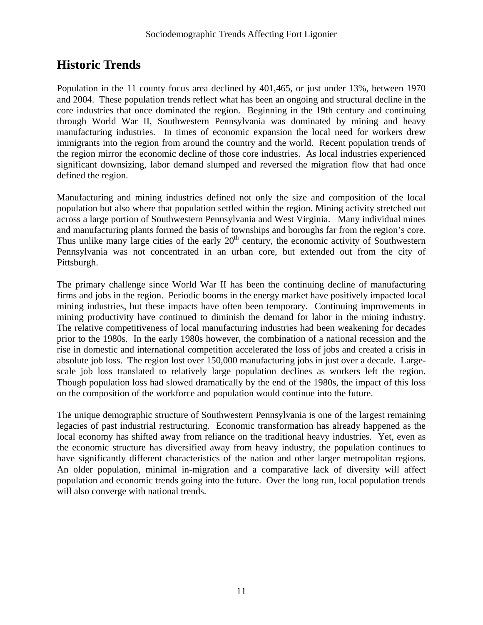# **Historic Trends**

Population in the 11 county focus area declined by 401,465, or just under 13%, between 1970 and 2004. These population trends reflect what has been an ongoing and structural decline in the core industries that once dominated the region. Beginning in the 19th century and continuing through World War II, Southwestern Pennsylvania was dominated by mining and heavy manufacturing industries. In times of economic expansion the local need for workers drew immigrants into the region from around the country and the world. Recent population trends of the region mirror the economic decline of those core industries. As local industries experienced significant downsizing, labor demand slumped and reversed the migration flow that had once defined the region.

Manufacturing and mining industries defined not only the size and composition of the local population but also where that population settled within the region. Mining activity stretched out across a large portion of Southwestern Pennsylvania and West Virginia. Many individual mines and manufacturing plants formed the basis of townships and boroughs far from the region's core. Thus unlike many large cities of the early  $20<sup>th</sup>$  century, the economic activity of Southwestern Pennsylvania was not concentrated in an urban core, but extended out from the city of Pittsburgh.

The primary challenge since World War II has been the continuing decline of manufacturing firms and jobs in the region. Periodic booms in the energy market have positively impacted local mining industries, but these impacts have often been temporary. Continuing improvements in mining productivity have continued to diminish the demand for labor in the mining industry. The relative competitiveness of local manufacturing industries had been weakening for decades prior to the 1980s. In the early 1980s however, the combination of a national recession and the rise in domestic and international competition accelerated the loss of jobs and created a crisis in absolute job loss. The region lost over 150,000 manufacturing jobs in just over a decade. Largescale job loss translated to relatively large population declines as workers left the region. Though population loss had slowed dramatically by the end of the 1980s, the impact of this loss on the composition of the workforce and population would continue into the future.

The unique demographic structure of Southwestern Pennsylvania is one of the largest remaining legacies of past industrial restructuring. Economic transformation has already happened as the local economy has shifted away from reliance on the traditional heavy industries. Yet, even as the economic structure has diversified away from heavy industry, the population continues to have significantly different characteristics of the nation and other larger metropolitan regions. An older population, minimal in-migration and a comparative lack of diversity will affect population and economic trends going into the future. Over the long run, local population trends will also converge with national trends.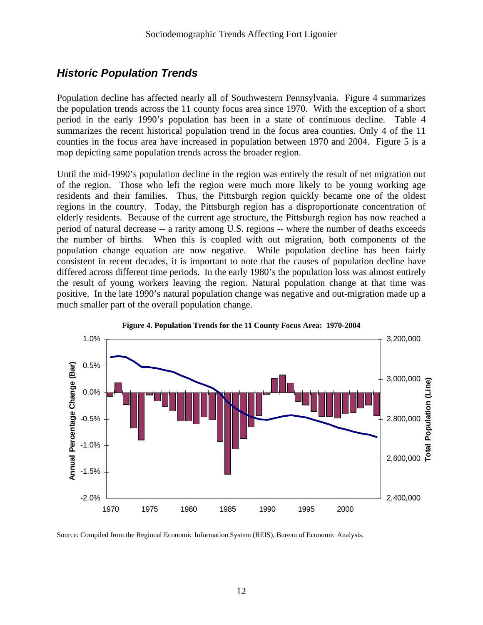### *Historic Population Trends*

Population decline has affected nearly all of Southwestern Pennsylvania. Figure 4 summarizes the population trends across the 11 county focus area since 1970. With the exception of a short period in the early 1990's population has been in a state of continuous decline. Table 4 summarizes the recent historical population trend in the focus area counties. Only 4 of the 11 counties in the focus area have increased in population between 1970 and 2004. Figure 5 is a map depicting same population trends across the broader region.

Until the mid-1990's population decline in the region was entirely the result of net migration out of the region. Those who left the region were much more likely to be young working age residents and their families. Thus, the Pittsburgh region quickly became one of the oldest regions in the country. Today, the Pittsburgh region has a disproportionate concentration of elderly residents. Because of the current age structure, the Pittsburgh region has now reached a period of natural decrease -- a rarity among U.S. regions -- where the number of deaths exceeds the number of births. When this is coupled with out migration, both components of the population change equation are now negative. While population decline has been fairly consistent in recent decades, it is important to note that the causes of population decline have differed across different time periods. In the early 1980's the population loss was almost entirely the result of young workers leaving the region. Natural population change at that time was positive. In the late 1990's natural population change was negative and out-migration made up a much smaller part of the overall population change.





Source: Compiled from the Regional Economic Information System (REIS), Bureau of Economic Analysis.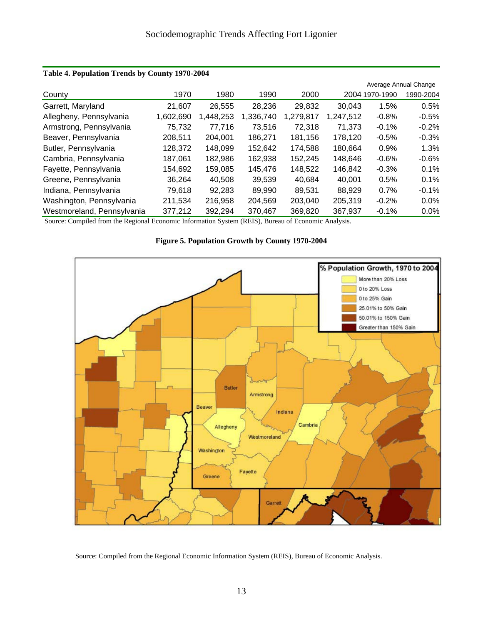|                            |           |          |           |           |           |                | Average Annual Change |
|----------------------------|-----------|----------|-----------|-----------|-----------|----------------|-----------------------|
| County                     | 1970      | 1980     | 1990      | 2000      |           | 2004 1970-1990 | 1990-2004             |
| Garrett, Maryland          | 21.607    | 26,555   | 28,236    | 29,832    | 30.043    | 1.5%           | 0.5%                  |
| Allegheny, Pennsylvania    | 1,602,690 | ,448,253 | 1,336,740 | 1,279,817 | 1,247,512 | $-0.8%$        | $-0.5%$               |
| Armstrong, Pennsylvania    | 75,732    | 77,716   | 73,516    | 72,318    | 71,373    | $-0.1%$        | $-0.2%$               |
| Beaver, Pennsylvania       | 208,511   | 204,001  | 186,271   | 181,156   | 178,120   | $-0.5%$        | $-0.3%$               |
| Butler, Pennsylvania       | 128,372   | 148,099  | 152,642   | 174,588   | 180,664   | 0.9%           | 1.3%                  |
| Cambria, Pennsylvania      | 187,061   | 182,986  | 162,938   | 152,245   | 148,646   | $-0.6%$        | $-0.6%$               |
| Fayette, Pennsylvania      | 154,692   | 159,085  | 145,476   | 148,522   | 146,842   | $-0.3%$        | 0.1%                  |
| Greene, Pennsylvania       | 36.264    | 40.508   | 39,539    | 40,684    | 40,001    | 0.5%           | 0.1%                  |
| Indiana, Pennsylvania      | 79,618    | 92.283   | 89.990    | 89.531    | 88.929    | 0.7%           | $-0.1%$               |
| Washington, Pennsylvania   | 211,534   | 216,958  | 204,569   | 203,040   | 205,319   | $-0.2%$        | $0.0\%$               |
| Westmoreland, Pennsylvania | 377,212   | 392,294  | 370,467   | 369,820   | 367,937   | $-0.1%$        | $0.0\%$               |

#### **Table 4. Population Trends by County 1970-2004**

Source: Compiled from the Regional Economic Information System (REIS), Bureau of Economic Analysis.



**Figure 5. Population Growth by County 1970-2004** 

Source: Compiled from the Regional Economic Information System (REIS), Bureau of Economic Analysis.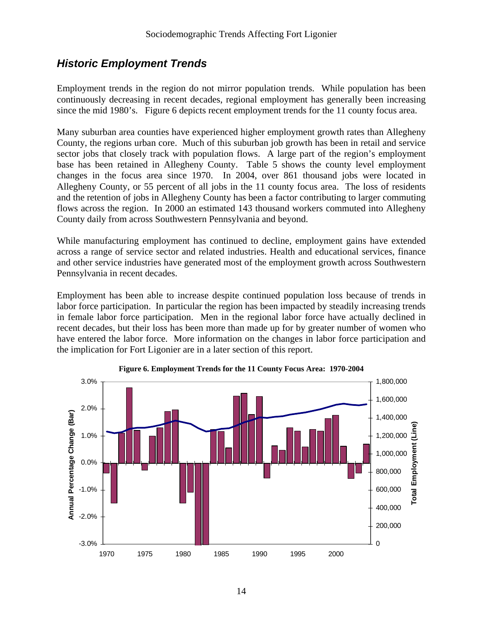### *Historic Employment Trends*

Employment trends in the region do not mirror population trends. While population has been continuously decreasing in recent decades, regional employment has generally been increasing since the mid 1980's. Figure 6 depicts recent employment trends for the 11 county focus area.

Many suburban area counties have experienced higher employment growth rates than Allegheny County, the regions urban core. Much of this suburban job growth has been in retail and service sector jobs that closely track with population flows. A large part of the region's employment base has been retained in Allegheny County. Table 5 shows the county level employment changes in the focus area since 1970. In 2004, over 861 thousand jobs were located in Allegheny County, or 55 percent of all jobs in the 11 county focus area. The loss of residents and the retention of jobs in Allegheny County has been a factor contributing to larger commuting flows across the region. In 2000 an estimated 143 thousand workers commuted into Allegheny County daily from across Southwestern Pennsylvania and beyond.

While manufacturing employment has continued to decline, employment gains have extended across a range of service sector and related industries. Health and educational services, finance and other service industries have generated most of the employment growth across Southwestern Pennsylvania in recent decades.

Employment has been able to increase despite continued population loss because of trends in labor force participation. In particular the region has been impacted by steadily increasing trends in female labor force participation. Men in the regional labor force have actually declined in recent decades, but their loss has been more than made up for by greater number of women who have entered the labor force. More information on the changes in labor force participation and the implication for Fort Ligonier are in a later section of this report.



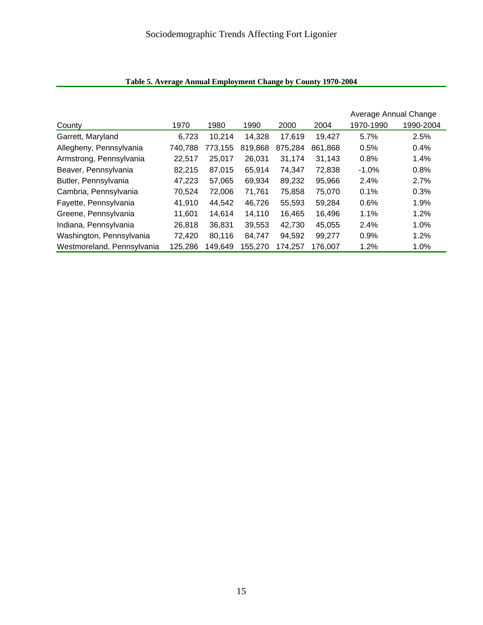|                            |         |         |         |         |         | Average Annual Change |           |
|----------------------------|---------|---------|---------|---------|---------|-----------------------|-----------|
| County                     | 1970    | 1980    | 1990    | 2000    | 2004    | 1970-1990             | 1990-2004 |
| Garrett, Maryland          | 6.723   | 10.214  | 14.328  | 17,619  | 19.427  | 5.7%                  | 2.5%      |
| Allegheny, Pennsylvania    | 740,788 | 773,155 | 819,868 | 875,284 | 861,868 | 0.5%                  | 0.4%      |
| Armstrong, Pennsylvania    | 22,517  | 25,017  | 26.031  | 31,174  | 31,143  | 0.8%                  | 1.4%      |
| Beaver, Pennsylvania       | 82,215  | 87,015  | 65,914  | 74,347  | 72,838  | $-1.0%$               | 0.8%      |
| Butler, Pennsylvania       | 47,223  | 57,065  | 69,934  | 89,232  | 95,966  | 2.4%                  | 2.7%      |
| Cambria, Pennsylvania      | 70,524  | 72,006  | 71,761  | 75,858  | 75,070  | 0.1%                  | 0.3%      |
| Fayette, Pennsylvania      | 41,910  | 44,542  | 46,726  | 55,593  | 59,284  | 0.6%                  | 1.9%      |
| Greene, Pennsylvania       | 11.601  | 14,614  | 14,110  | 16,465  | 16,496  | 1.1%                  | 1.2%      |
| Indiana, Pennsylvania      | 26,818  | 36,831  | 39,553  | 42,730  | 45,055  | 2.4%                  | 1.0%      |
| Washington, Pennsylvania   | 72,420  | 80,116  | 84,747  | 94,592  | 99,277  | 0.9%                  | 1.2%      |
| Westmoreland, Pennsylvania | 125,286 | 149,649 | 155,270 | 174,257 | 176,007 | 1.2%                  | 1.0%      |

### **Table 5. Average Annual Employment Change by County 1970-2004**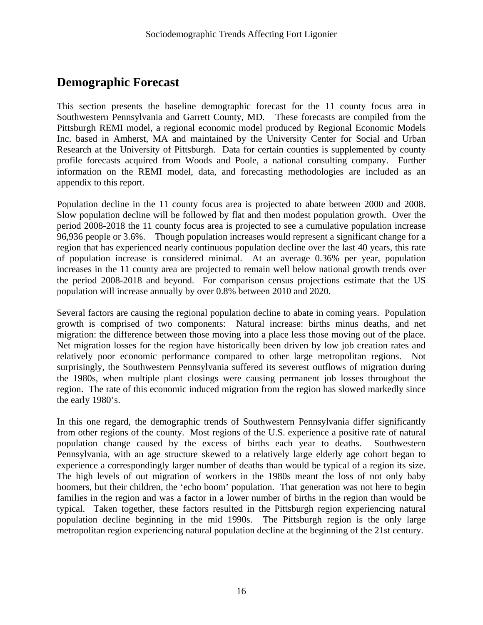## **Demographic Forecast**

This section presents the baseline demographic forecast for the 11 county focus area in Southwestern Pennsylvania and Garrett County, MD. These forecasts are compiled from the Pittsburgh REMI model, a regional economic model produced by Regional Economic Models Inc. based in Amherst, MA and maintained by the University Center for Social and Urban Research at the University of Pittsburgh. Data for certain counties is supplemented by county profile forecasts acquired from Woods and Poole, a national consulting company. Further information on the REMI model, data, and forecasting methodologies are included as an appendix to this report.

Population decline in the 11 county focus area is projected to abate between 2000 and 2008. Slow population decline will be followed by flat and then modest population growth. Over the period 2008-2018 the 11 county focus area is projected to see a cumulative population increase 96,936 people or 3.6%. Though population increases would represent a significant change for a region that has experienced nearly continuous population decline over the last 40 years, this rate of population increase is considered minimal. At an average 0.36% per year, population increases in the 11 county area are projected to remain well below national growth trends over the period 2008-2018 and beyond. For comparison census projections estimate that the US population will increase annually by over 0.8% between 2010 and 2020.

Several factors are causing the regional population decline to abate in coming years. Population growth is comprised of two components: Natural increase: births minus deaths, and net migration: the difference between those moving into a place less those moving out of the place. Net migration losses for the region have historically been driven by low job creation rates and relatively poor economic performance compared to other large metropolitan regions. Not surprisingly, the Southwestern Pennsylvania suffered its severest outflows of migration during the 1980s, when multiple plant closings were causing permanent job losses throughout the region. The rate of this economic induced migration from the region has slowed markedly since the early 1980's.

In this one regard, the demographic trends of Southwestern Pennsylvania differ significantly from other regions of the county. Most regions of the U.S. experience a positive rate of natural population change caused by the excess of births each year to deaths. Southwestern Pennsylvania, with an age structure skewed to a relatively large elderly age cohort began to experience a correspondingly larger number of deaths than would be typical of a region its size. The high levels of out migration of workers in the 1980s meant the loss of not only baby boomers, but their children, the 'echo boom' population. That generation was not here to begin families in the region and was a factor in a lower number of births in the region than would be typical. Taken together, these factors resulted in the Pittsburgh region experiencing natural population decline beginning in the mid 1990s. The Pittsburgh region is the only large metropolitan region experiencing natural population decline at the beginning of the 21st century.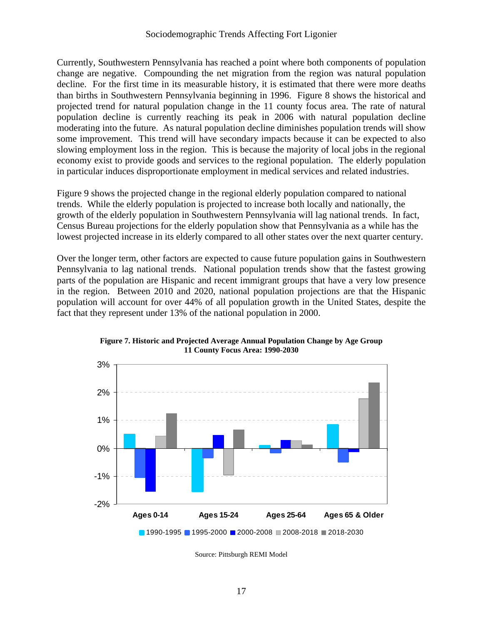Currently, Southwestern Pennsylvania has reached a point where both components of population change are negative. Compounding the net migration from the region was natural population decline. For the first time in its measurable history, it is estimated that there were more deaths than births in Southwestern Pennsylvania beginning in 1996. Figure 8 shows the historical and projected trend for natural population change in the 11 county focus area. The rate of natural population decline is currently reaching its peak in 2006 with natural population decline moderating into the future. As natural population decline diminishes population trends will show some improvement. This trend will have secondary impacts because it can be expected to also slowing employment loss in the region. This is because the majority of local jobs in the regional economy exist to provide goods and services to the regional population. The elderly population in particular induces disproportionate employment in medical services and related industries.

Figure 9 shows the projected change in the regional elderly population compared to national trends. While the elderly population is projected to increase both locally and nationally, the growth of the elderly population in Southwestern Pennsylvania will lag national trends. In fact, Census Bureau projections for the elderly population show that Pennsylvania as a while has the lowest projected increase in its elderly compared to all other states over the next quarter century.

Over the longer term, other factors are expected to cause future population gains in Southwestern Pennsylvania to lag national trends. National population trends show that the fastest growing parts of the population are Hispanic and recent immigrant groups that have a very low presence in the region. Between 2010 and 2020, national population projections are that the Hispanic population will account for over 44% of all population growth in the United States, despite the fact that they represent under 13% of the national population in 2000.



**Figure 7. Historic and Projected Average Annual Population Change by Age Group 11 County Focus Area: 1990-2030** 

Source: Pittsburgh REMI Model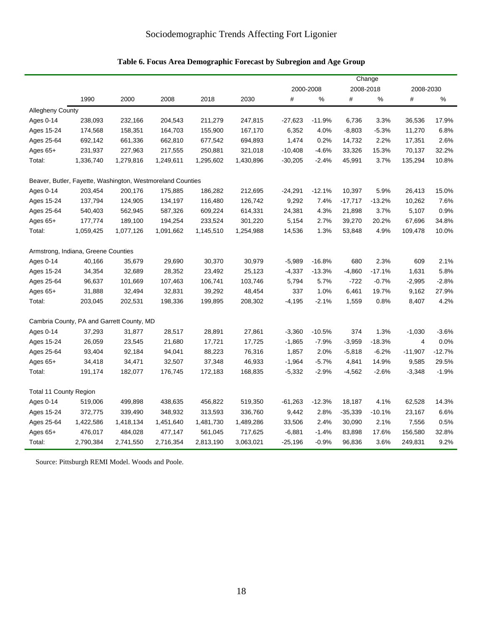|  | Table 6. Focus Area Demographic Forecast by Subregion and Age Group |  |  |
|--|---------------------------------------------------------------------|--|--|
|--|---------------------------------------------------------------------|--|--|

|                               |                                                            |           |           |           |           |           | Change   |           |           |                |          |
|-------------------------------|------------------------------------------------------------|-----------|-----------|-----------|-----------|-----------|----------|-----------|-----------|----------------|----------|
|                               |                                                            |           |           |           |           | 2000-2008 |          |           | 2008-2018 | 2008-2030      |          |
|                               | 1990                                                       | 2000      | 2008      | 2018      | 2030      | #         | %        | $\#$      | %         | $\#$           | $\%$     |
| <b>Allegheny County</b>       |                                                            |           |           |           |           |           |          |           |           |                |          |
| Ages 0-14                     | 238,093                                                    | 232,166   | 204,543   | 211,279   | 247,815   | $-27,623$ | $-11.9%$ | 6,736     | 3.3%      | 36,536         | 17.9%    |
| Ages 15-24                    | 174,568                                                    | 158,351   | 164,703   | 155,900   | 167,170   | 6,352     | 4.0%     | $-8,803$  | $-5.3%$   | 11,270         | 6.8%     |
| Ages 25-64                    | 692,142                                                    | 661,336   | 662,810   | 677,542   | 694,893   | 1,474     | 0.2%     | 14,732    | 2.2%      | 17,351         | 2.6%     |
| Ages $65+$                    | 231,937                                                    | 227,963   | 217,555   | 250,881   | 321,018   | $-10,408$ | $-4.6%$  | 33,326    | 15.3%     | 70,137         | 32.2%    |
| Total:                        | 1,336,740                                                  | 1,279,816 | 1,249,611 | 1,295,602 | 1,430,896 | $-30,205$ | $-2.4%$  | 45,991    | 3.7%      | 135,294        | 10.8%    |
|                               | Beaver, Butler, Fayette, Washington, Westmoreland Counties |           |           |           |           |           |          |           |           |                |          |
| Ages 0-14                     | 203,454                                                    | 200,176   | 175,885   | 186,282   | 212,695   | $-24,291$ | $-12.1%$ | 10,397    | 5.9%      | 26,413         | 15.0%    |
| Ages 15-24                    | 137,794                                                    | 124,905   | 134,197   | 116,480   | 126,742   | 9,292     | 7.4%     | $-17,717$ | $-13.2%$  | 10,262         | 7.6%     |
| Ages 25-64                    | 540,403                                                    | 562,945   | 587,326   | 609,224   | 614,331   | 24,381    | 4.3%     | 21,898    | 3.7%      | 5,107          | 0.9%     |
| Ages $65+$                    | 177,774                                                    | 189,100   | 194,254   | 233,524   | 301,220   | 5,154     | 2.7%     | 39,270    | 20.2%     | 67,696         | 34.8%    |
| Total:                        | 1,059,425                                                  | 1,077,126 | 1,091,662 | 1,145,510 | 1,254,988 | 14,536    | 1.3%     | 53,848    | 4.9%      | 109,478        | 10.0%    |
|                               | Armstrong, Indiana, Greene Counties                        |           |           |           |           |           |          |           |           |                |          |
| Ages 0-14                     | 40,166                                                     | 35,679    | 29,690    | 30,370    | 30,979    | $-5,989$  | $-16.8%$ | 680       | 2.3%      | 609            | 2.1%     |
| Ages 15-24                    | 34,354                                                     | 32,689    | 28,352    | 23,492    | 25,123    | $-4,337$  | $-13.3%$ | $-4,860$  | $-17.1%$  | 1,631          | 5.8%     |
| Ages 25-64                    | 96,637                                                     | 101,669   | 107,463   | 106,741   | 103,746   | 5,794     | 5.7%     | -722      | $-0.7%$   | $-2,995$       | $-2.8%$  |
| Ages $65+$                    | 31,888                                                     | 32,494    | 32,831    | 39,292    | 48,454    | 337       | 1.0%     | 6,461     | 19.7%     | 9,162          | 27.9%    |
| Total:                        | 203,045                                                    | 202,531   | 198,336   | 199,895   | 208,302   | $-4,195$  | $-2.1%$  | 1,559     | 0.8%      | 8,407          | 4.2%     |
|                               | Cambria County, PA and Garrett County, MD                  |           |           |           |           |           |          |           |           |                |          |
| Ages 0-14                     | 37,293                                                     | 31,877    | 28,517    | 28,891    | 27,861    | $-3,360$  | $-10.5%$ | 374       | 1.3%      | $-1,030$       | $-3.6%$  |
| Ages 15-24                    | 26,059                                                     | 23,545    | 21,680    | 17,721    | 17,725    | $-1,865$  | $-7.9%$  | $-3,959$  | $-18.3%$  | $\overline{4}$ | 0.0%     |
| Ages 25-64                    | 93,404                                                     | 92,184    | 94,041    | 88,223    | 76,316    | 1,857     | 2.0%     | $-5,818$  | $-6.2%$   | $-11,907$      | $-12.7%$ |
| Ages 65+                      | 34,418                                                     | 34,471    | 32,507    | 37,348    | 46,933    | $-1,964$  | $-5.7%$  | 4,841     | 14.9%     | 9,585          | 29.5%    |
| Total:                        | 191,174                                                    | 182,077   | 176,745   | 172,183   | 168,835   | $-5,332$  | $-2.9%$  | $-4,562$  | $-2.6%$   | $-3,348$       | $-1.9%$  |
| <b>Total 11 County Region</b> |                                                            |           |           |           |           |           |          |           |           |                |          |
| Ages 0-14                     | 519,006                                                    | 499,898   | 438,635   | 456,822   | 519,350   | $-61,263$ | $-12.3%$ | 18,187    | 4.1%      | 62,528         | 14.3%    |
| Ages 15-24                    | 372,775                                                    | 339,490   | 348,932   | 313,593   | 336,760   | 9,442     | 2.8%     | $-35,339$ | $-10.1%$  | 23,167         | 6.6%     |
| Ages 25-64                    | 1,422,586                                                  | 1,418,134 | 1,451,640 | 1,481,730 | 1,489,286 | 33,506    | 2.4%     | 30,090    | 2.1%      | 7,556          | 0.5%     |
| Ages 65+                      | 476,017                                                    | 484,028   | 477,147   | 561,045   | 717,625   | $-6,881$  | $-1.4%$  | 83,898    | 17.6%     | 156,580        | 32.8%    |
| Total:                        | 2,790,384                                                  | 2,741,550 | 2,716,354 | 2,813,190 | 3,063,021 | $-25,196$ | $-0.9%$  | 96,836    | 3.6%      | 249,831        | 9.2%     |

Source: Pittsburgh REMI Model. Woods and Poole.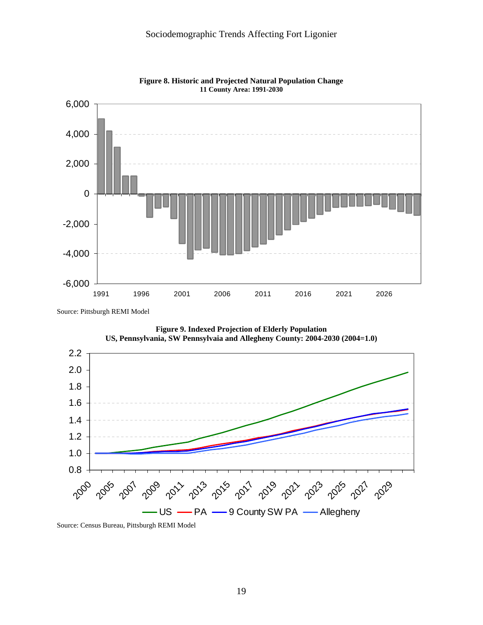



Source: Pittsburgh REMI Model



**Figure 9. Indexed Projection of Elderly Population** 

Source: Census Bureau, Pittsburgh REMI Model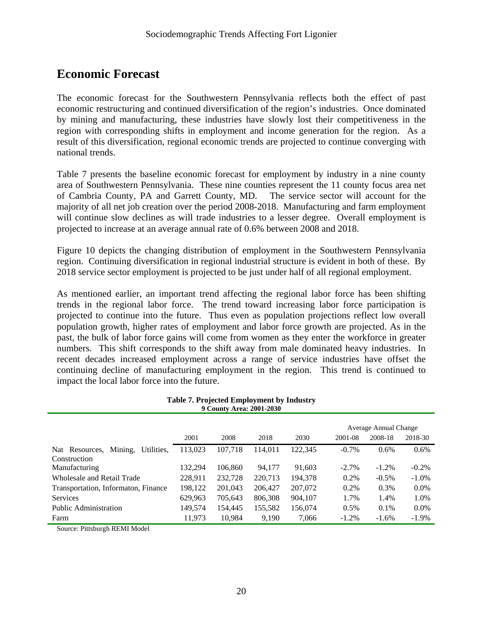### **Economic Forecast**

The economic forecast for the Southwestern Pennsylvania reflects both the effect of past economic restructuring and continued diversification of the region's industries. Once dominated by mining and manufacturing, these industries have slowly lost their competitiveness in the region with corresponding shifts in employment and income generation for the region. As a result of this diversification, regional economic trends are projected to continue converging with national trends.

Table 7 presents the baseline economic forecast for employment by industry in a nine county area of Southwestern Pennsylvania. These nine counties represent the 11 county focus area net of Cambria County, PA and Garrett County, MD. The service sector will account for the majority of all net job creation over the period 2008-2018. Manufacturing and farm employment will continue slow declines as will trade industries to a lesser degree. Overall employment is projected to increase at an average annual rate of 0.6% between 2008 and 2018.

Figure 10 depicts the changing distribution of employment in the Southwestern Pennsylvania region. Continuing diversification in regional industrial structure is evident in both of these. By 2018 service sector employment is projected to be just under half of all regional employment.

As mentioned earlier, an important trend affecting the regional labor force has been shifting trends in the regional labor force. The trend toward increasing labor force participation is projected to continue into the future. Thus even as population projections reflect low overall population growth, higher rates of employment and labor force growth are projected. As in the past, the bulk of labor force gains will come from women as they enter the workforce in greater numbers. This shift corresponds to the shift away from male dominated heavy industries. In recent decades increased employment across a range of service industries have offset the continuing decline of manufacturing employment in the region. This trend is continued to impact the local labor force into the future.

| $>$ count, in cat soon soco             |         |         |         |         |          |          |          |  |  |  |  |
|-----------------------------------------|---------|---------|---------|---------|----------|----------|----------|--|--|--|--|
| Average Annual Change                   |         |         |         |         |          |          |          |  |  |  |  |
|                                         | 2001    | 2008    | 2018    | 2030    | 2001-08  | 2008-18  | 2018-30  |  |  |  |  |
| Mining,<br>Utilities.<br>Nat Resources, | 113,023 | 107,718 | 114.011 | 122,345 | $-0.7\%$ | $0.6\%$  | 0.6%     |  |  |  |  |
| Construction                            |         |         |         |         |          |          |          |  |  |  |  |
| Manufacturing                           | 132,294 | 106,860 | 94,177  | 91,603  | $-2.7\%$ | $-1.2\%$ | $-0.2%$  |  |  |  |  |
| <b>Wholesale and Retail Trade</b>       | 228,911 | 232,728 | 220,713 | 194,378 | $0.2\%$  | $-0.5\%$ | $-1.0\%$ |  |  |  |  |
| Transportation, Informaton, Finance     | 198,122 | 201,043 | 206,427 | 207,072 | 0.2%     | 0.3%     | $0.0\%$  |  |  |  |  |
| <b>Services</b>                         | 629,963 | 705,643 | 806,308 | 904,107 | 1.7%     | 1.4%     | 1.0%     |  |  |  |  |
| Public Administration                   | 149,574 | 154.445 | 155,582 | 156,074 | 0.5%     | $0.1\%$  | $0.0\%$  |  |  |  |  |
| Farm                                    | 11.973  | 10,984  | 9,190   | 7,066   | $-1.2%$  | $-1.6\%$ | $-1.9%$  |  |  |  |  |

**Table 7. Projected Employment by Industry 9 County Area: 2001-2030**

Source: Pittsburgh REMI Model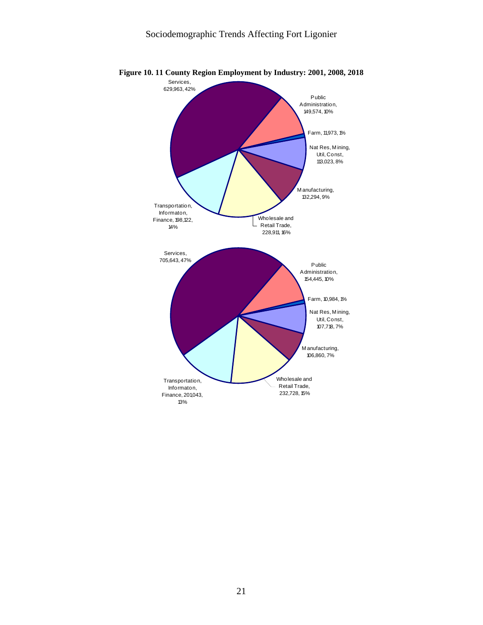

**Figure 10. 11 County Region Employment by Industry: 2001, 2008, 2018**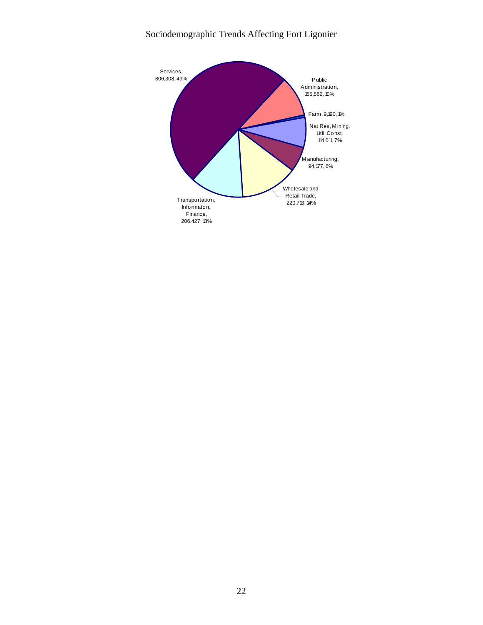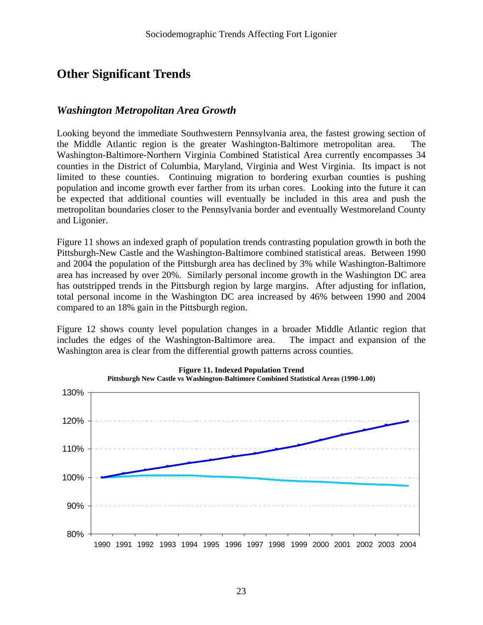# **Other Significant Trends**

### *Washington Metropolitan Area Growth*

Looking beyond the immediate Southwestern Pennsylvania area, the fastest growing section of the Middle Atlantic region is the greater Washington-Baltimore metropolitan area. The Washington-Baltimore-Northern Virginia Combined Statistical Area currently encompasses 34 counties in the District of Columbia, Maryland, Virginia and West Virginia. Its impact is not limited to these counties. Continuing migration to bordering exurban counties is pushing population and income growth ever farther from its urban cores. Looking into the future it can be expected that additional counties will eventually be included in this area and push the metropolitan boundaries closer to the Pennsylvania border and eventually Westmoreland County and Ligonier.

Figure 11 shows an indexed graph of population trends contrasting population growth in both the Pittsburgh-New Castle and the Washington-Baltimore combined statistical areas. Between 1990 and 2004 the population of the Pittsburgh area has declined by 3% while Washington-Baltimore area has increased by over 20%. Similarly personal income growth in the Washington DC area has outstripped trends in the Pittsburgh region by large margins. After adjusting for inflation, total personal income in the Washington DC area increased by 46% between 1990 and 2004 compared to an 18% gain in the Pittsburgh region.

Figure 12 shows county level population changes in a broader Middle Atlantic region that includes the edges of the Washington-Baltimore area. The impact and expansion of the Washington area is clear from the differential growth patterns across counties.

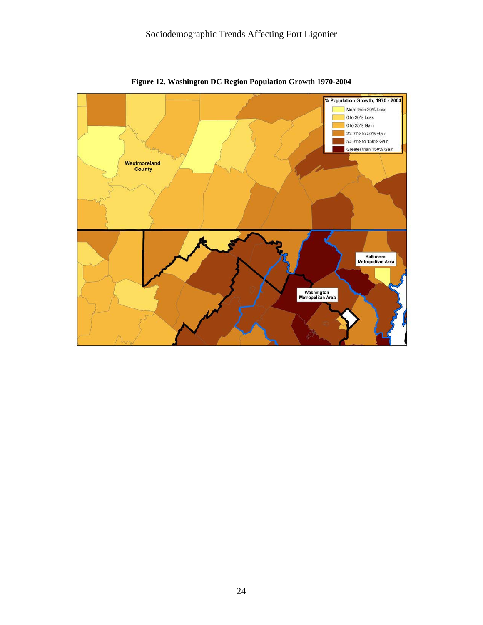

**Figure 12. Washington DC Region Population Growth 1970-2004**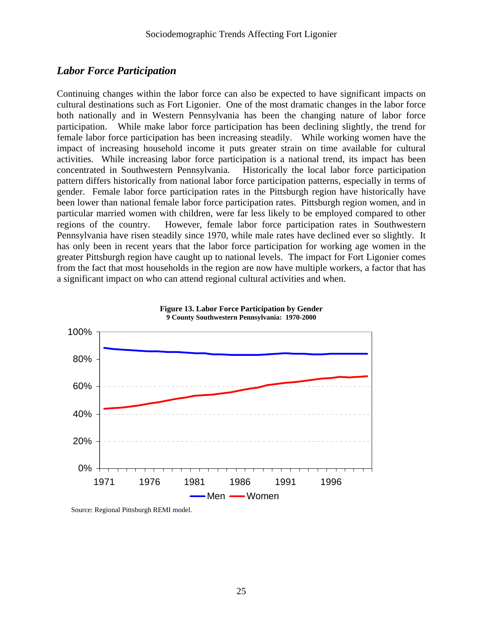### *Labor Force Participation*

Continuing changes within the labor force can also be expected to have significant impacts on cultural destinations such as Fort Ligonier. One of the most dramatic changes in the labor force both nationally and in Western Pennsylvania has been the changing nature of labor force participation. While make labor force participation has been declining slightly, the trend for female labor force participation has been increasing steadily. While working women have the impact of increasing household income it puts greater strain on time available for cultural activities. While increasing labor force participation is a national trend, its impact has been concentrated in Southwestern Pennsylvania. Historically the local labor force participation pattern differs historically from national labor force participation patterns, especially in terms of gender. Female labor force participation rates in the Pittsburgh region have historically have been lower than national female labor force participation rates. Pittsburgh region women, and in particular married women with children, were far less likely to be employed compared to other regions of the country. However, female labor force participation rates in Southwestern Pennsylvania have risen steadily since 1970, while male rates have declined ever so slightly. It has only been in recent years that the labor force participation for working age women in the greater Pittsburgh region have caught up to national levels. The impact for Fort Ligonier comes from the fact that most households in the region are now have multiple workers, a factor that has a significant impact on who can attend regional cultural activities and when.





Source: Regional Pittsburgh REMI model.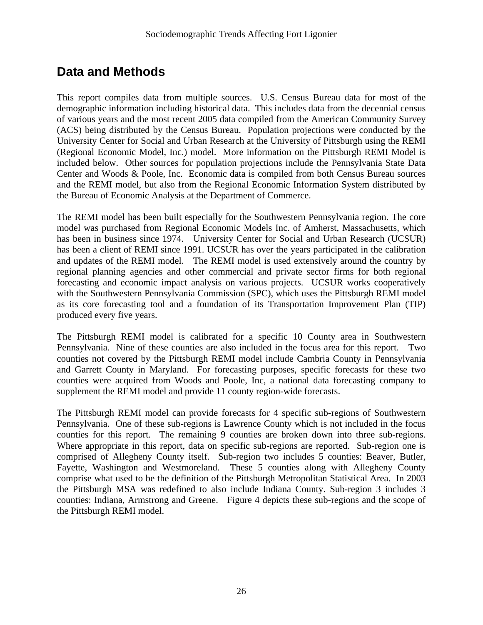# **Data and Methods**

This report compiles data from multiple sources. U.S. Census Bureau data for most of the demographic information including historical data. This includes data from the decennial census of various years and the most recent 2005 data compiled from the American Community Survey (ACS) being distributed by the Census Bureau. Population projections were conducted by the University Center for Social and Urban Research at the University of Pittsburgh using the REMI (Regional Economic Model, Inc.) model. More information on the Pittsburgh REMI Model is included below. Other sources for population projections include the Pennsylvania State Data Center and Woods & Poole, Inc. Economic data is compiled from both Census Bureau sources and the REMI model, but also from the Regional Economic Information System distributed by the Bureau of Economic Analysis at the Department of Commerce.

The REMI model has been built especially for the Southwestern Pennsylvania region. The core model was purchased from Regional Economic Models Inc. of Amherst, Massachusetts, which has been in business since 1974. University Center for Social and Urban Research (UCSUR) has been a client of REMI since 1991. UCSUR has over the years participated in the calibration and updates of the REMI model. The REMI model is used extensively around the country by regional planning agencies and other commercial and private sector firms for both regional forecasting and economic impact analysis on various projects. UCSUR works cooperatively with the Southwestern Pennsylvania Commission (SPC), which uses the Pittsburgh REMI model as its core forecasting tool and a foundation of its Transportation Improvement Plan (TIP) produced every five years.

The Pittsburgh REMI model is calibrated for a specific 10 County area in Southwestern Pennsylvania. Nine of these counties are also included in the focus area for this report. Two counties not covered by the Pittsburgh REMI model include Cambria County in Pennsylvania and Garrett County in Maryland. For forecasting purposes, specific forecasts for these two counties were acquired from Woods and Poole, Inc, a national data forecasting company to supplement the REMI model and provide 11 county region-wide forecasts.

The Pittsburgh REMI model can provide forecasts for 4 specific sub-regions of Southwestern Pennsylvania. One of these sub-regions is Lawrence County which is not included in the focus counties for this report. The remaining 9 counties are broken down into three sub-regions. Where appropriate in this report, data on specific sub-regions are reported. Sub-region one is comprised of Allegheny County itself. Sub-region two includes 5 counties: Beaver, Butler, Fayette, Washington and Westmoreland. These 5 counties along with Allegheny County comprise what used to be the definition of the Pittsburgh Metropolitan Statistical Area. In 2003 the Pittsburgh MSA was redefined to also include Indiana County. Sub-region 3 includes 3 counties: Indiana, Armstrong and Greene. Figure 4 depicts these sub-regions and the scope of the Pittsburgh REMI model.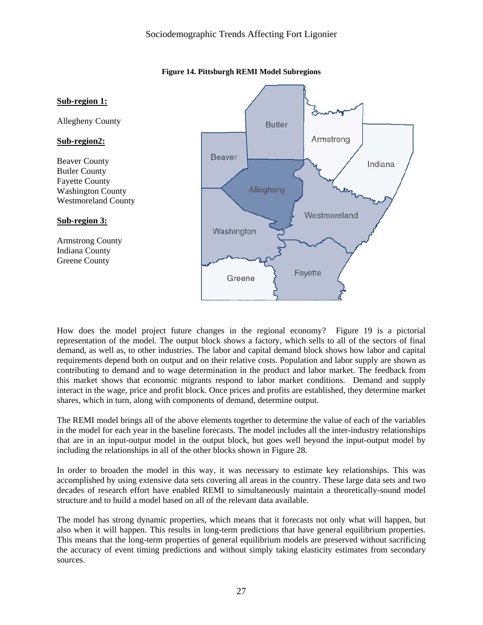

**Figure 14. Pittsburgh REMI Model Subregions**

How does the model project future changes in the regional economy? Figure 19 is a pictorial representation of the model. The output block shows a factory, which sells to all of the sectors of final demand, as well as, to other industries. The labor and capital demand block shows how labor and capital requirements depend both on output and on their relative costs. Population and labor supply are shown as contributing to demand and to wage determination in the product and labor market. The feedback from this market shows that economic migrants respond to labor market conditions. Demand and supply interact in the wage, price and profit block. Once prices and profits are established, they determine market shares, which in turn, along with components of demand, determine output.

The REMI model brings all of the above elements together to determine the value of each of the variables in the model for each year in the baseline forecasts. The model includes all the inter-industry relationships that are in an input-output model in the output block, but goes well beyond the input-output model by including the relationships in all of the other blocks shown in Figure 28.

In order to broaden the model in this way, it was necessary to estimate key relationships. This was accomplished by using extensive data sets covering all areas in the country. These large data sets and two decades of research effort have enabled REMI to simultaneously maintain a theoretically-sound model structure and to build a model based on all of the relevant data available.

The model has strong dynamic properties, which means that it forecasts not only what will happen, but also when it will happen. This results in long-term predictions that have general equilibrium properties. This means that the long-term properties of general equilibrium models are preserved without sacrificing the accuracy of event timing predictions and without simply taking elasticity estimates from secondary sources.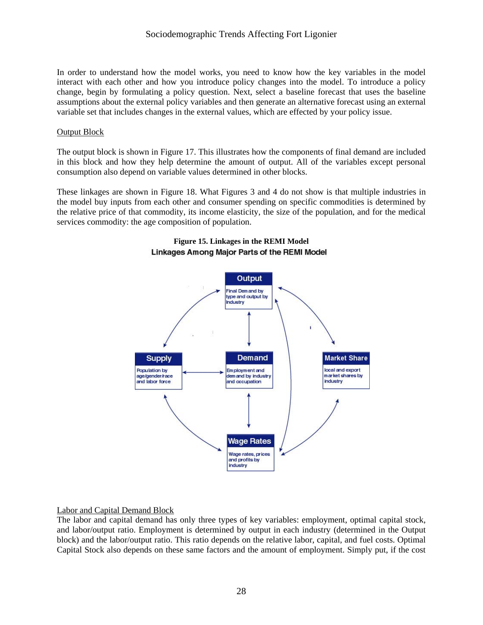In order to understand how the model works, you need to know how the key variables in the model interact with each other and how you introduce policy changes into the model. To introduce a policy change, begin by formulating a policy question. Next, select a baseline forecast that uses the baseline assumptions about the external policy variables and then generate an alternative forecast using an external variable set that includes changes in the external values, which are effected by your policy issue.

#### Output Block

The output block is shown in Figure 17. This illustrates how the components of final demand are included in this block and how they help determine the amount of output. All of the variables except personal consumption also depend on variable values determined in other blocks.

These linkages are shown in Figure 18. What Figures 3 and 4 do not show is that multiple industries in the model buy inputs from each other and consumer spending on specific commodities is determined by the relative price of that commodity, its income elasticity, the size of the population, and for the medical services commodity: the age composition of population.



#### **Figure 15. Linkages in the REMI Model**  Linkages Among Major Parts of the REMI Model

#### Labor and Capital Demand Block

The labor and capital demand has only three types of key variables: employment, optimal capital stock, and labor/output ratio. Employment is determined by output in each industry (determined in the Output block) and the labor/output ratio. This ratio depends on the relative labor, capital, and fuel costs. Optimal Capital Stock also depends on these same factors and the amount of employment. Simply put, if the cost